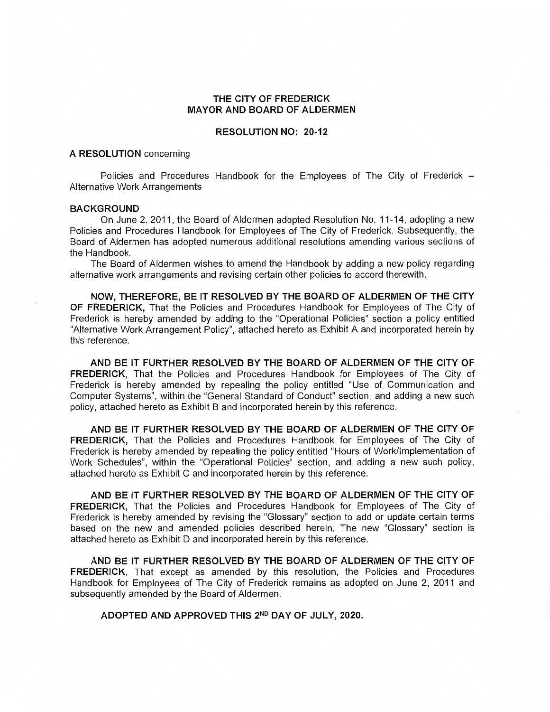#### **THE CITY OF FREDERICK MAYOR AND BOARD OF ALDERMEN**

#### **RESOLUTION NO: 20-12**

#### **A RESOLUTION** concerning

Policies and Procedures Handbook for the Employees of The City of Frederick  $-$ Alternative Work Arrangements

#### **BACKGROUND**

On June 2, 2011, the Board of Aldermen adopted Resolution No. 11-14, adopting a new Policies and Procedures Handbook for Employees of The City of Frederick. Subsequently, the Board of Aldermen has adopted numerous additional resolutions amending various sections of the Handbook.

The Board of Aldermen wishes to amend the Handbook by adding a new policy regarding alternative work arrangements and revising certain other policies to accord therewith.

**NOW, THEREFORE, BE IT RESOLVED BY THE BOARD OF ALDERMEN OF THE CITY OF FREDERICK,** That the Policies and Procedures Handbook for Employees of The City of Frederick is hereby amended by adding to the "Operational Policies" section a policy entitled "Alternative Work Arrangement Policy", attached hereto as Exhibit A and incorporated herein by this reference.

**AND BE IT FURTHER RESOLVED BY THE BOARD OF ALDERMEN OF THE CITY OF FREDERICK,** That the Policies and Procedures Handbook for Employees of The City of Frederick is hereby amended by repealing the policy entitled "Use of Communication and Computer Systems", within the "General Standard of Conduct" section, and adding a new such policy, attached hereto as Exhibit Band incorporated herein by this reference.

**AND BE IT FURTHER RESOLVED BY THE BOARD OF ALDERMEN OF THE CITY OF FREDERICK,** That the Policies and Procedures Handbook for Employees of The City of Frederick is hereby amended by repealing the policy entitled "Hours of Work/Implementation of Work Schedules", within the "Operational Policies" section, and adding a new such policy, attached hereto as Exhibit C and incorporated herein by this reference.

**AND BE** IT **FURTHER RESOLVED BY THE BOARD OF ALDERMEN OF THE CITY OF FREDERICK,** That the Policies and Procedures Handbook for Employees of The City of Frederick is hereby amended by revising the "Glossary" section to add or update certain terms based on the new and amended policies described herein. The new "Glossary" section is attached hereto as Exhibit D and incorporated herein by this reference.

**AND BE IT FURTHER RESOLVED BY THE BOARD OF ALDERMEN OF THE CITY OF FREDERICK,** That except as amended by this resolution, the Policies and Procedures Handbook for Employees of The City of Frederick remains as adopted on June 2, 2011 and subsequently amended by the Board of Aldermen.

**ADOPTED AND APPROVED THIS 2No DAY OF JULY, 2020.**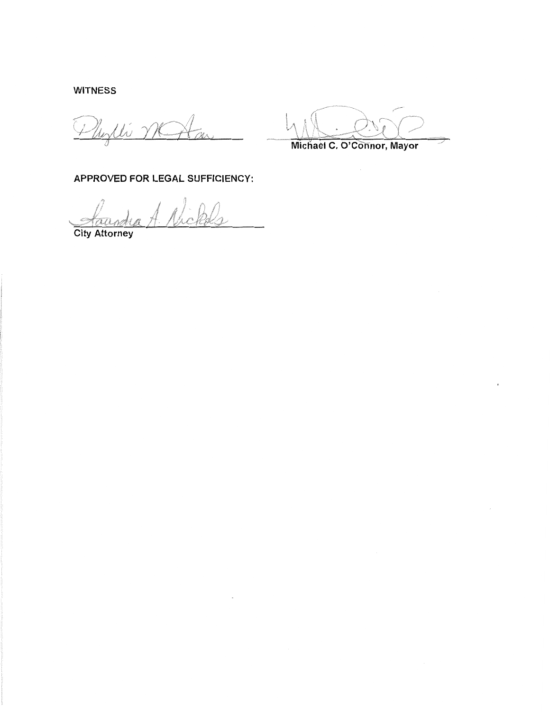WITNESS

Phylli M

Michael c. O'Connor, Mayor

APPROVED FOR LEGAL SUFFICIENCY:

Nick

City Attorney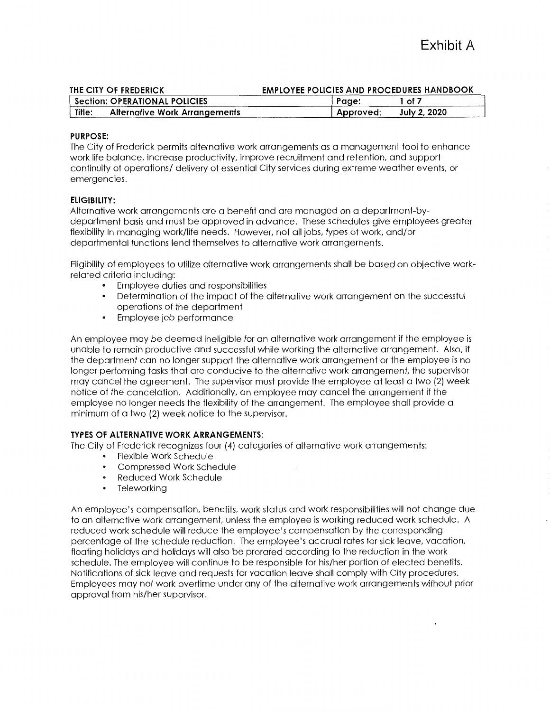| THE CITY OF FREDERICK |                                         | <b>EMPLOYEE POLICIES AND PROCEDURES HANDBOOK</b> |              |  |
|-----------------------|-----------------------------------------|--------------------------------------------------|--------------|--|
|                       | <b>Section: OPERATIONAL POLICIES</b>    | Page:                                            | 1 of 7       |  |
|                       | Title:<br>Alternative Work Arrangements | ' Approved:                                      | July 2, 2020 |  |

#### **PURPOSE:**

The City of Frederick permits alternative work arrangements as a management tool to enhance work life balance, increase productivity, improve recruitment and retention, and support continuity of operations/ delivery of essential City services during extreme weather events, or emergencies.

#### **ELIGIBILITY:**

Alternative work arrangements are a benefit and are managed on a department-bydepartment basis and must be approved in advance. These schedules give employees greater flexibility in managing work/life needs. However, not all jobs, types of work, and/or departmental functions lend themselves to alternative work arrangements.

Eligibility of employees to utilize alternative work arrangements shall be based on objective workrelated criteria including:

- Employee duties and responsibilities
- Determination of the impact of the alternative work arrangement on the successful operations of the department
- Employee job performance

An employee may be deemed ineligible for an alternative work arrangement if the employee is unable to remain productive and successful while working the alternative arrangement. Also, if the department can no longer support the alternative work arrangement or the employee is no longer performing tasks that are conducive to the alternative work arrangement, the supervisor may cancel the agreement. The supervisor must provide the employee at least a two (2) week notice of the cancelation. Additionally, an employee may cancel the arrangement if the employee no longer needs the flexibility of the arrangement. The employee shall provide a minimum of a two (2) week notice to the supervisor.

#### **TYPES OF ALTERNATIVE WORK ARRANGEMENTS:**

The City of Frederick recognizes four (4) categories of alternative work arrangements:

- Flexible Work Schedule
- Compressed Work Schedule
- Reduced Work Schedule
- Teleworking

An employee's compensation, benefits, work status and work responsibilities will not change due to an alternative work arrangement, unless the employee is working reduced work schedule. A reduced work schedule will reduce the employee's compensation by the corresponding percentage of the schedule reduction. The employee's accrual rates for sick leave, vacation, floating holidays and holidays will also be prorated according to the reduction in the work schedule. The employee will continue to be responsible for his/her portion of elected benefits. Notifications of sick leave and requests for vacation leave shall comply with City procedures. Employees may not work overtime under any of the alternative work arrangements without prior approval from his/her supervisor.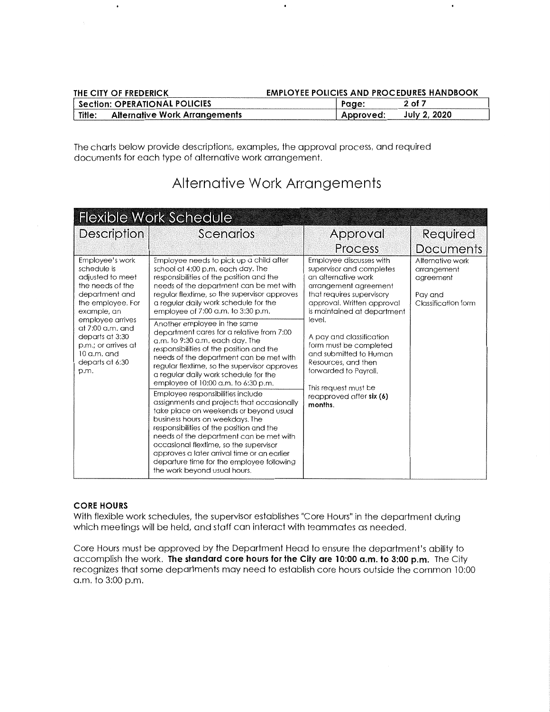| THE CITY OF FREDERICK                   | <b>EMPLOYEE POLICIES AND PROCEDURES HANDBOOK</b> |              |
|-----------------------------------------|--------------------------------------------------|--------------|
| <b>Section: OPERATIONAL POLICIES</b>    | Page:                                            | 2 of 7       |
| Title:<br>Alternative Work Arrangements | Approved:                                        | July 2, 2020 |

The charts below provide descriptions, examples, the approval process, and required documents for each type of alternative work arrangement.

| <b>Flexible Work Schedule</b>                                                                                                |                                                                                                                                                                                                                                                                                                                                                                                                                                                                                                                                                                                                                                                                                                                                                                  |                                                                                                                                                                                                        |                                                                                |  |
|------------------------------------------------------------------------------------------------------------------------------|------------------------------------------------------------------------------------------------------------------------------------------------------------------------------------------------------------------------------------------------------------------------------------------------------------------------------------------------------------------------------------------------------------------------------------------------------------------------------------------------------------------------------------------------------------------------------------------------------------------------------------------------------------------------------------------------------------------------------------------------------------------|--------------------------------------------------------------------------------------------------------------------------------------------------------------------------------------------------------|--------------------------------------------------------------------------------|--|
| <b>Description</b>                                                                                                           | Scenarios                                                                                                                                                                                                                                                                                                                                                                                                                                                                                                                                                                                                                                                                                                                                                        | Approval                                                                                                                                                                                               | Required                                                                       |  |
|                                                                                                                              |                                                                                                                                                                                                                                                                                                                                                                                                                                                                                                                                                                                                                                                                                                                                                                  | Process                                                                                                                                                                                                | <b>Documents</b>                                                               |  |
| Employee's work<br>schedule is<br>adjusted to meet<br>the needs of the<br>department and<br>the employee. For<br>example, an | Employee needs to pick up a child after<br>school at 4:00 p.m. each day. The<br>responsibilities of the position and the<br>needs of the department can be met with<br>regular flextime, so the supervisor approves<br>a reaular daily work schedule for the<br>employee of 7:00 a.m. to 3:30 p.m.                                                                                                                                                                                                                                                                                                                                                                                                                                                               | Employee discusses with<br>supervisor and completes<br>an alternative work<br>arrangement agreement<br>that requires supervisory<br>approval. Written approval<br>is maintained at department          | Alternative work<br>arrangement<br>agreement<br>Pay and<br>Classification form |  |
| employee arrives<br>at $7:00$ a.m. and<br>departs at 3:30<br>p.m.; or arrives at<br>$10$ a.m. and<br>departs at 6:30<br>p.m. | Another employee in the same<br>department cares for a relative from 7:00<br>a.m. to 9:30 a.m. each day. The<br>responsibilities of the position and the<br>needs of the department can be met with<br>regular flextime, so the supervisor approves<br>a regular daily work schedule for the<br>employee of 10:00 a.m. to 6:30 p.m.<br>Employee responsibilities include<br>assignments and projects that occasionally<br>take place on weekends or beyond usual<br>business hours on weekdays. The<br>responsibilities of the position and the<br>needs of the department can be met with<br>occasional flextime, so the supervisor<br>approves a later arrival time or an earlier<br>departure time for the employee following<br>the work beyond usual hours. | level.<br>A pay and classification<br>form must be completed<br>and submitted to Human<br>Resources, and then<br>forwarded to Payroll.<br>This request must be<br>reapproved after $six(6)$<br>months. |                                                                                |  |

## **Alternative Work Arrangements**

## **CORE HOURS**

With flexible work schedules, the supervisor establishes "Core Hours" in the department during which meetings will be held, and staff can interact with teammates as needed.

Core Hours must be approved by the Department Head to ensure the department's ability to accomplish the work. **The standard core hours for the City are 10:00 a.m. to 3:00 p.m.** The City recognizes that some departments may need to establish core hours outside the common 10:00 a.m. to 3:00 p.m.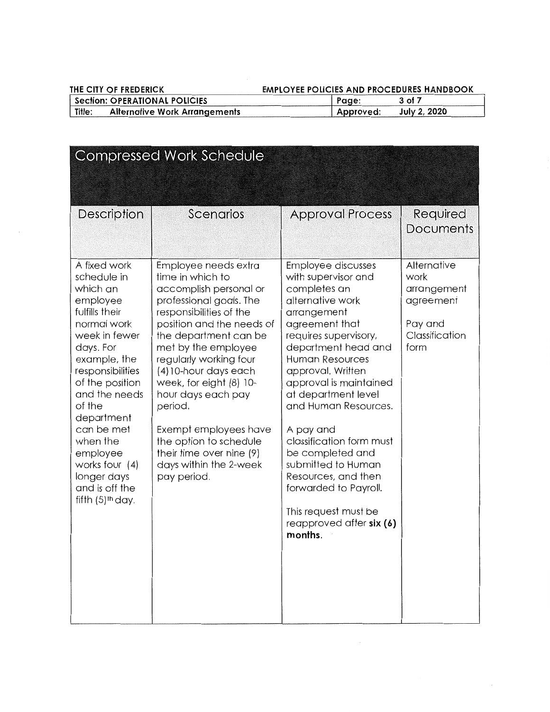## THE CITY OF FREDERICK **EMPLOYEE POLICIES AND PROCEDURES HANDBOOK**

| Section: OPERATIONAL POLICIES |                                      | Page:     | 3 of 7       |
|-------------------------------|--------------------------------------|-----------|--------------|
| Title:                        | <b>Alternative Work Arrangements</b> | Approved: | July 2, 2020 |

| <b>Compressed Work Schedule</b>                                                                                                                                                                                                                                                                                                                 |                                                                                                                                                                                                                                                                                                                                                                                                                                              |                                                                                                                                                                                                                                                                                                                                                                                                                                                                                           |                                                                                      |  |
|-------------------------------------------------------------------------------------------------------------------------------------------------------------------------------------------------------------------------------------------------------------------------------------------------------------------------------------------------|----------------------------------------------------------------------------------------------------------------------------------------------------------------------------------------------------------------------------------------------------------------------------------------------------------------------------------------------------------------------------------------------------------------------------------------------|-------------------------------------------------------------------------------------------------------------------------------------------------------------------------------------------------------------------------------------------------------------------------------------------------------------------------------------------------------------------------------------------------------------------------------------------------------------------------------------------|--------------------------------------------------------------------------------------|--|
| Description                                                                                                                                                                                                                                                                                                                                     | Scenarios                                                                                                                                                                                                                                                                                                                                                                                                                                    | <b>Approval Process</b>                                                                                                                                                                                                                                                                                                                                                                                                                                                                   | Required<br>Documents                                                                |  |
| A fixed work<br>schedule in<br>which an<br>employee<br>fulfills their<br>normal work<br>week in fewer<br>days. For<br>example, the<br>responsibilities<br>of the position<br>and the needs<br>of the<br>department<br>can be met<br>when the<br>employee<br>works four $(4)$<br>longer days<br>and is off the<br>fifth $(5)$ <sup>th</sup> day. | Employee needs extra<br>time in which to<br>accomplish personal or<br>professional goals. The<br>responsibilities of the<br>position and the needs of<br>the department can be<br>met by the employee<br>regularly working four<br>(4) 10-hour days each<br>week, for eight (8) 10-<br>hour days each pay<br>period.<br>Exempt employees have<br>the option to schedule<br>their time over nine (9)<br>days within the 2-week<br>pay period. | Employee discusses<br>with supervisor and<br>completes an<br>alternative work<br>arrangement<br>agreement that<br>requires supervisory,<br>department head and<br><b>Human Resources</b><br>approval. Written<br>approval is maintained<br>at department level<br>and Human Resources.<br>A pay and<br>classification form must<br>be completed and<br>submitted to Human<br>Resources, and then<br>forwarded to Payroll.<br>This request must be<br>reapproved after $six(6)$<br>months. | Alternative<br>work<br>arrangement<br>agreement<br>Pay and<br>Classification<br>form |  |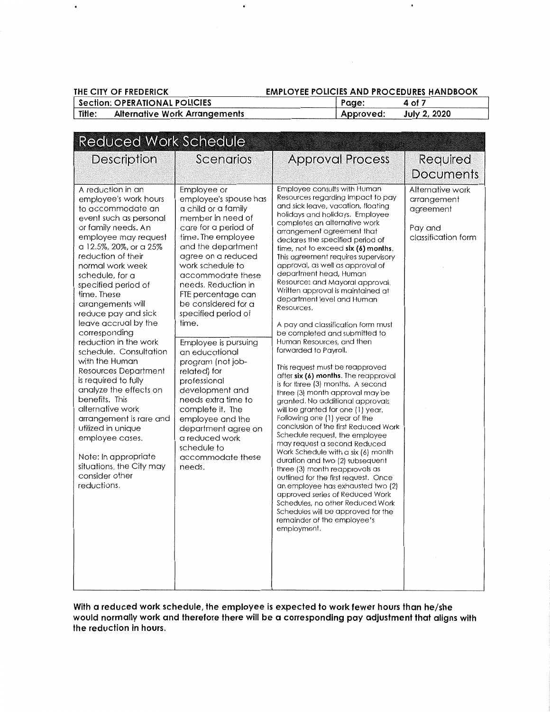$\ddot{\phantom{0}}$ 

## THE CITY OF FREDERICK **EMPLOYEE POLICIES AND PROCEDURES HANDBOOK**

 $\bullet$ 

| Section: OPERATIONAL POLICIES |                                      | Page:     | 4 of 7              |  |
|-------------------------------|--------------------------------------|-----------|---------------------|--|
| Title:                        | <b>Alternative Work Arrangements</b> | Approved: | <b>July 2, 2020</b> |  |

| <b>Reduced Work Schedule</b>                                                                                                                                                                                                                                                                                                                                                                                                                                                                                                                                                                                                                                                                             |                                                                                                                                                                                                                                                                                                                                                                                                                                                                                                                                                                                                 |                                                                                                                                                                                                                                                                                                                                                                                                                                                                                                                                                                                                                                                                                                                                                                                                                                                                                                                                                                                                                                                                                                                                                                                                                                                                                                                                                                      |                                                                                |
|----------------------------------------------------------------------------------------------------------------------------------------------------------------------------------------------------------------------------------------------------------------------------------------------------------------------------------------------------------------------------------------------------------------------------------------------------------------------------------------------------------------------------------------------------------------------------------------------------------------------------------------------------------------------------------------------------------|-------------------------------------------------------------------------------------------------------------------------------------------------------------------------------------------------------------------------------------------------------------------------------------------------------------------------------------------------------------------------------------------------------------------------------------------------------------------------------------------------------------------------------------------------------------------------------------------------|----------------------------------------------------------------------------------------------------------------------------------------------------------------------------------------------------------------------------------------------------------------------------------------------------------------------------------------------------------------------------------------------------------------------------------------------------------------------------------------------------------------------------------------------------------------------------------------------------------------------------------------------------------------------------------------------------------------------------------------------------------------------------------------------------------------------------------------------------------------------------------------------------------------------------------------------------------------------------------------------------------------------------------------------------------------------------------------------------------------------------------------------------------------------------------------------------------------------------------------------------------------------------------------------------------------------------------------------------------------------|--------------------------------------------------------------------------------|
| <b>Description</b>                                                                                                                                                                                                                                                                                                                                                                                                                                                                                                                                                                                                                                                                                       | Scenarios                                                                                                                                                                                                                                                                                                                                                                                                                                                                                                                                                                                       | <b>Approval Process</b>                                                                                                                                                                                                                                                                                                                                                                                                                                                                                                                                                                                                                                                                                                                                                                                                                                                                                                                                                                                                                                                                                                                                                                                                                                                                                                                                              | Required                                                                       |
|                                                                                                                                                                                                                                                                                                                                                                                                                                                                                                                                                                                                                                                                                                          |                                                                                                                                                                                                                                                                                                                                                                                                                                                                                                                                                                                                 |                                                                                                                                                                                                                                                                                                                                                                                                                                                                                                                                                                                                                                                                                                                                                                                                                                                                                                                                                                                                                                                                                                                                                                                                                                                                                                                                                                      | <b>Documents</b>                                                               |
| A reduction in an<br>employee's work hours<br>to accommodate an<br>event such as personal<br>or family needs. An<br>employee may request<br>a 12.5%, 20%, or a 25%<br>reduction of their<br>normal work week<br>schedule, for a<br>specified period of<br>time. These<br>arrangements will<br>reduce pay and sick<br>leave accrual by the<br>corresponding<br>reduction in the work<br>schedule. Consultation<br>with the Human<br>Resources Department<br>is required to fully<br>analyze the effects on<br>benefits. This<br>alternative work<br>arrangement is rare and<br>utilized in unique<br>employee cases.<br>Note: In appropriate<br>situations, the City may<br>consider other<br>reductions. | Employee or<br>employee's spouse has<br>a child or a family<br>member in need of<br>care for a period of<br>time. The employee<br>and the department<br>agree on a reduced<br>work schedule to<br>accommodate these<br>needs. Reduction in<br>FTE percentage can<br>be considered for a<br>specified period of<br>time.<br>Employee is pursuing<br>an educational<br>program (not job-<br>related) for<br>professional<br>development and<br>needs extra time to<br>complete it. The<br>employee and the<br>department agree on<br>a reduced work<br>schedule to<br>accommodate these<br>needs. | Employee consults with Human<br>Resources regarding impact to pay<br>and sick leave, vacation, floating<br>holidays and holidays. Employee<br>completes an alternative work<br>arrangement agreement that<br>declares the specified period of<br>time, not to exceed six (6) months.<br>This agreement requires supervisory<br>approval, as well as approval of<br>department head, Human<br>Resources and Mayoral approval.<br>Written approval is maintained at<br>department level and Human<br>Resources.<br>A pay and classification form must<br>be completed and submitted to<br>Human Resources, and then<br>forwarded to Payroll,<br>This request must be reapproved<br>after six (6) months. The reapproval<br>is for three (3) months. A second<br>three (3) month approval may be<br>granted. No additional approvals<br>will be granted for one (1) year.<br>Following one (1) year of the<br>conclusion of the first Reduced Work<br>Schedule request, the employee<br>may request a second Reduced<br>Work Schedule with a six (6) month<br>duration and two (2) subsequent<br>three (3) month reapprovals as<br>outlined for the first request. Once<br>an employee has exhausted two (2)<br>approved series of Reduced Work<br>Schedules, no other Reduced Work<br>Schedules will be approved for the<br>remainder of the employee's<br>employment. | Alternative work<br>arrangement<br>agreement<br>Pay and<br>classification form |

**With a reduced work schedule, the employee is expected to work fewer hours than he/she would normally work and therefore there will be a corresponding pay adjustment that aligns with the reduction in hours.**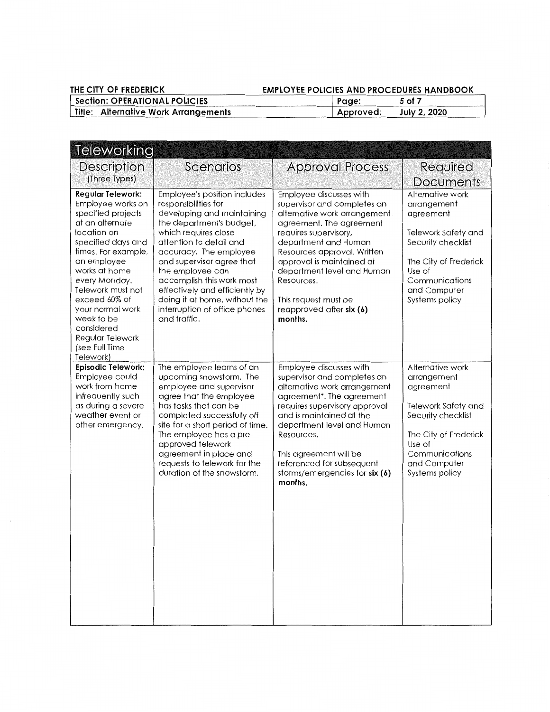## **THE CITY OF FREDERICK EMPLOYEE POLICIES AND PROCEDURES HANDBOOK**

| Section: OPERATIONAL POLICIES        | Page:     | 5 of 7       |
|--------------------------------------|-----------|--------------|
| Title: Alternative Work Arrangements | Approved: | July 2, 2020 |

| Teleworking                                                                                                                                                                                                                                                                                                                                  |                                                                                                                                                                                                                                                                                                                                                                                               |                                                                                                                                                                                                                                                                                                                                            |                                                                                                                                                                                  |
|----------------------------------------------------------------------------------------------------------------------------------------------------------------------------------------------------------------------------------------------------------------------------------------------------------------------------------------------|-----------------------------------------------------------------------------------------------------------------------------------------------------------------------------------------------------------------------------------------------------------------------------------------------------------------------------------------------------------------------------------------------|--------------------------------------------------------------------------------------------------------------------------------------------------------------------------------------------------------------------------------------------------------------------------------------------------------------------------------------------|----------------------------------------------------------------------------------------------------------------------------------------------------------------------------------|
| <b>Description</b><br>(Three Types)                                                                                                                                                                                                                                                                                                          | Scenarios                                                                                                                                                                                                                                                                                                                                                                                     | <b>Approval Process</b>                                                                                                                                                                                                                                                                                                                    | Required<br>Documents                                                                                                                                                            |
| <b>Regular Telework:</b><br>Employee works on<br>specified projects<br>at an alternate<br>location on<br>specified days and<br>times. For example,<br>an employee<br>works at home<br>every Monday.<br>Telework must not<br>exceed 60% of<br>your normal work<br>week to be<br>considered<br>Regular Telework<br>(see Full Time<br>Telework) | Employee's position includes<br>responsibilities for<br>developing and maintaining<br>the department's budget,<br>which requires close<br>attention to detail and<br>accuracy. The employee<br>and supervisor agree that<br>the employee can<br>accomplish this work most<br>effectively and efficiently by<br>doing it at home, without the<br>interruption of office phones<br>and traffic. | Employee discusses with<br>supervisor and completes an<br>alternative work arrangement<br>agreement. The agreement<br>requires supervisory,<br>department and Human<br>Resources approval. Written<br>approval is maintained at<br>department level and Human<br>Resources.<br>This request must be<br>reapproved after six (6)<br>months. | Alternative work<br>arrangement<br>agreement<br>Telework Safety and<br>Security checklist<br>The City of Frederick<br>Use of<br>Communications<br>and Computer<br>Systems policy |
| Episodic Telework:<br>Employee could<br>work from home<br>infrequently such<br>as during a severe<br>weather event or<br>other emergency.                                                                                                                                                                                                    | The employee learns of an<br>upcoming snowstorm. The<br>employee and supervisor<br>agree that the employee<br>has tasks that can be<br>completed successfully off<br>site for a short period of time.<br>The employee has a pre-<br>approved telework<br>agreement in place and<br>requests to telework for the<br>duration of the snowstorm.                                                 | Employee discusses with<br>supervisor and completes an<br>alternative work arrangement<br>agreement*. The agreement<br>requires supervisory approval<br>and is maintained at the<br>department level and Human<br>Resources.<br>This agreement will be<br>referenced for subsequent<br>storms/emergencies for six (6)<br>months.           | Alternative work<br>arrangement<br>agreement<br>Telework Safety and<br>Security checklist<br>The City of Frederick<br>Use of<br>Communications<br>and Computer<br>Systems policy |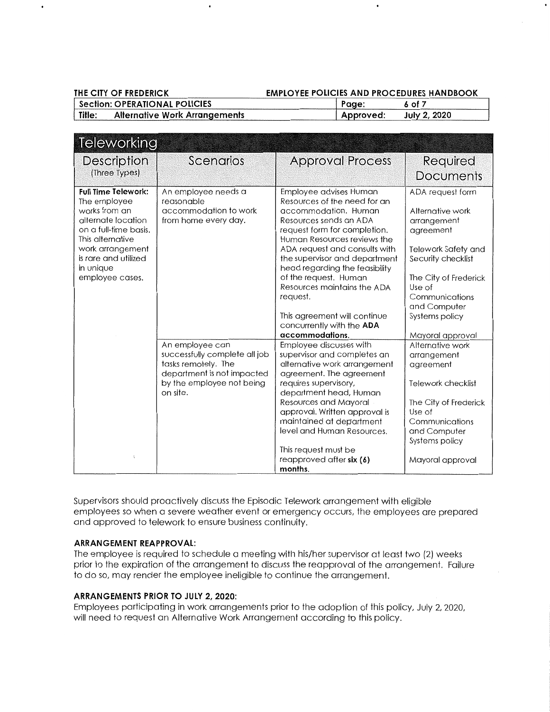| THE CITY OF FREDERICK                | <b>EMPLOYEE POLICIES AND PROCEDURES HANDBOOK</b> |        |
|--------------------------------------|--------------------------------------------------|--------|
| <b>Section: OPERATIONAL POLICIES</b> | : Page                                           | 6 of 7 |

| Title: | <b>Alternative Work Arrangements</b> | Approved: | July 2, 2020 |  |
|--------|--------------------------------------|-----------|--------------|--|
|        |                                      |           |              |  |

| <b>Teleworking</b>                                                                                                                                                                                         |                                                                                                                                                |                                                                                                                                                                                                                                                                                                                                                                                                                                 |                                                                                                                                                                                                                          |
|------------------------------------------------------------------------------------------------------------------------------------------------------------------------------------------------------------|------------------------------------------------------------------------------------------------------------------------------------------------|---------------------------------------------------------------------------------------------------------------------------------------------------------------------------------------------------------------------------------------------------------------------------------------------------------------------------------------------------------------------------------------------------------------------------------|--------------------------------------------------------------------------------------------------------------------------------------------------------------------------------------------------------------------------|
| Description<br>(Three Types)                                                                                                                                                                               | <b>Scenarios</b>                                                                                                                               | <b>Approval Process</b>                                                                                                                                                                                                                                                                                                                                                                                                         | Required<br><b>Documents</b>                                                                                                                                                                                             |
| <b>Full Time Telework:</b><br>The employee<br>works from an<br>alternate location<br>on a full-time basis.<br>This alternative<br>work arrangement<br>is rare and utilized<br>in unique<br>employee cases. | An employee needs a<br>reasonable<br>accommodation to work<br>from home every day.                                                             | Employee advises Human<br>Resources of the need for an<br>accommodation. Human<br>Resources sends an ADA<br>request form for completion.<br>Human Resources reviews the<br>ADA request and consults with<br>the supervisor and department<br>head regarding the feasibility<br>of the request. Human<br>Resources maintains the ADA<br>request.<br>This agreement will continue<br>concurrently with the ADA<br>accommodations. | ADA request form<br>Alternative work<br>arrangement<br>agreement<br>Telework Safety and<br>Security checklist<br>The City of Frederick<br>Use of<br>Communications<br>and Computer<br>Systems policy<br>Mayoral approval |
| t.                                                                                                                                                                                                         | An employee can<br>successfully complete all job<br>tasks remotely. The<br>department is not impacted<br>by the employee not being<br>on site. | Employee discusses with<br>supervisor and completes an<br>alternative work arrangement<br>agreement. The agreement<br>requires supervisory,<br>department head, Human<br>Resources and Mayoral<br>approval. Written approval is<br>maintained at department<br>level and Human Resources.<br>This request must be<br>reapproved after six (6)<br>months.                                                                        | Alternative work<br>arrangement<br>agreement<br>Telework checklist<br>The City of Frederick<br>Use of<br>Communications<br>and Computer<br>Systems policy<br>Mayoral approval                                            |

Supervisors should proactively discuss the Episodic Telework arrangement with eligible employees so when a severe weather event or emergency occurs, the employees are prepared and approved to telework to ensure business continuity.

#### **ARRANGEMENT REAPPROVAL:**

The employee is required to schedule a meeting with his/her supervisor at least two (2) weeks prior to the expiration of the arrangement to discuss the reapproval of the arrangement. Failure to do so, may render the employee ineligible to continue the arrangement.

## **ARRANGEMENTS PRIOR TO JULY 2, 2020:**

Employees participating in work arrangements prior to the adoption of this policy, July 2, 2020, will need to request an Alternative Work Arrangement according to this policy.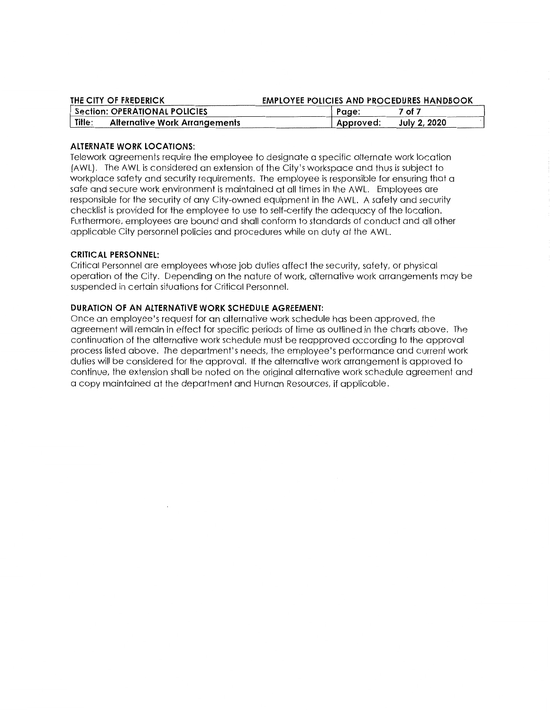| THE CITY OF FREDERICK                          | <b>EMPLOYEE POLICIES AND PROCEDURES HANDBOOK</b> |              |
|------------------------------------------------|--------------------------------------------------|--------------|
| <b>Section: OPERATIONAL POLICIES</b>           | Page:                                            | 7 of 7       |
| Title:<br><b>Alternative Work Arrangements</b> | Approved:                                        | July 2, 2020 |

#### **ALTERNATE WORK LOCATIONS:**

Telework agreements require the employee to designate a specific alternate work location (AWL). The AWL is considered an extension of the City's workspace and thus is subject to workplace safety and security requirements. The employee is responsible for ensuring that a safe and secure work environment is maintained at all times in the AWL. Employees are responsible for the security of any City-owned equipment in the AWL. A safety and security checklist is provided for the employee to use to self-certify the adequacy of the location. Furthermore, employees are bound and shall conform to standards of conduct and all other applicable City personnel policies and procedures while on duty at the AWL.

#### **CRITICAL PERSONNEL:**

Critical Personnel are employees whose job duties affect the security, safety, or physical operation of the City. Depending on the nature of work, alternative work arrangements may be suspended in certain situations for Critical Personnel.

#### **DURATION OF AN ALTERNATIVE WORK SCHEDULE AGREEMENT:**

Once an employee's request for an alternative work schedule has been approved, the agreement will remain in effect for specific periods of time as outlined in the charts above. The continuation of the alternative work schedule must be reapproved according to the approval process listed above. The department's needs, the employee's performance and current work duties will be considered for the approval. If the alternative work arrangement is approved to continue, the extension shall be noted on the original alternative work schedule agreement and a copy maintained at the department and Human Resources, if applicable.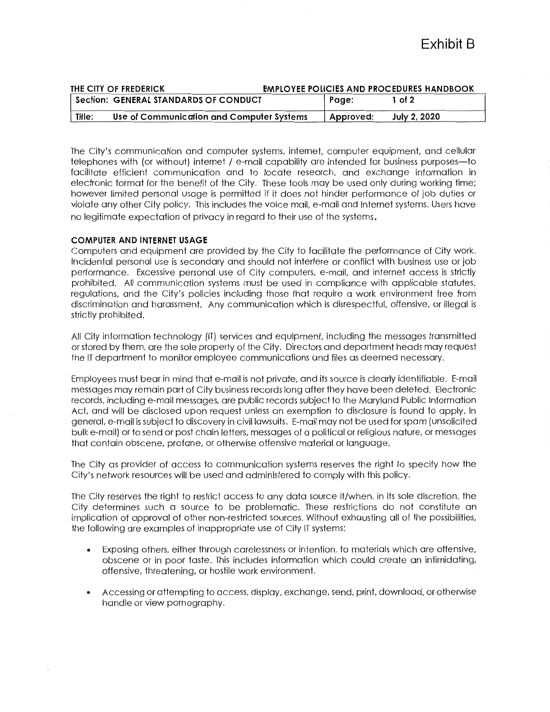| <b>EMPLOYEE POLICIES AND PROCEDURES HANDBOOK</b><br>THE CITY OF FREDERICK |                                           |  |           |                     |
|---------------------------------------------------------------------------|-------------------------------------------|--|-----------|---------------------|
|                                                                           | Section: GENERAL STANDARDS OF CONDUCT     |  | Page:     | 1 of 2              |
| Title.                                                                    | Use of Communication and Computer Systems |  | Approved: | <b>July 2, 2020</b> |

The City's communication and computer systems, internet, computer equipment, and cellular telephones with (or without) internet / e-mail capability are intended for business purposes-to facilitate efficient communication and to locate research, and exchange information in electronic format for the benefit of the City. These tools may be used only during working time; however limited personal usage is permitted if it does not hinder performance of job duties or violate any other City policy. This includes the voice mail, e-mail and Internet systems. Users have no legitimate expectation of privacy in regard to their use of the systems.

#### **COMPUTER AND INTERNET USAGE**

Computers and equipment are provided by the City to facilitate the performance of City work. Incidental personal use is secondary and should not interfere or conflict with business use or job performance. Excessive personal use of City computers, e-mail, and internet access is strictly prohibited. All communication systems must be used in compliance with applicable statutes, regulations, and the City's policies including those that require a work environment free from discrimination and harassment. Any communication which is disrespectful, offensive, or illegal is strictly prohibited.

All City information technology (IT) services and equipment, including the messages transmitted or stored by them, are the sole property of the City. Directors and department heads may request the IT department to monitor employee communications and files as deemed necessary.

Employees must bear in mind that e-mail is not private, and its source is clearly identifiable. E-mail messages may remain part of City business records long after they have been deleted. Electronic records, including e-mail messages, are public records subject to the Maryland Public Information Act, and will be disclosed upon request unless an exemption to disclosure is found to apply. In general, e-mail is subject to discovery in civil lawsuits. E-mail may not be used for spam (unsolicited bulk e-mail) or to send or post chain letters, messages of a political or religious nature, or messages that contain obscene, profane, or otherwise offensive material or language.

The City as provider of access to communication systems reserves the right to specify how the City's network resources will be used and administered to comply with this policy.

The City reserves the right to restrict access to any data source if/when, in its sole discretion, the City determines such a source to be problematic. These restrictions do not constitute an implication of approval of other non-restricted sources. Without exhausting all of the possibilities, the following are examples of inappropriate use of City IT systems:

- Exposing others, either through carelessness or intention, to materials which are offensive, obscene or in poor taste. This includes information which could create an intimidating, offensive, threatening, or hostile work environment.
- Accessing or attempting to access, display, exchange, send, print, download, or otherwise handle or view pornography.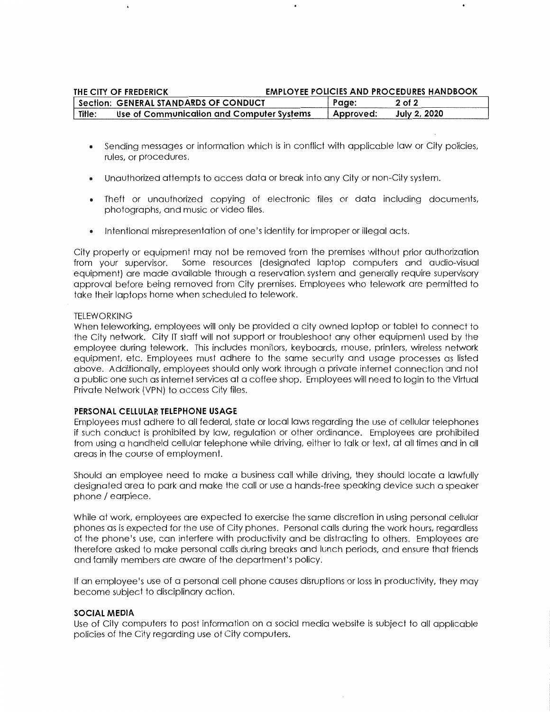| THE CITY OF FREDERICK |                                              |  |           | <b>EMPLOYEE POLICIES AND PROCEDURES HANDBOOK</b> |
|-----------------------|----------------------------------------------|--|-----------|--------------------------------------------------|
|                       | <b>Section: GENERAL STANDARDS OF CONDUCT</b> |  | Page:     | $2$ of $2$                                       |
| Title:                | Use of Communication and Computer Systems    |  | Approved: | <b>July 2, 2020</b>                              |

- Sending messages or information which is in conflict with applicable law or City policies, rules, or procedures.
- Unauthorized attempts to access data or break into any City or non-City system.
- Theft or unauthorized copying of electronic files or data including documents, photographs, and music or video files.
- Intentional misrepresentation of one's identity for improper or illegal acts.

City property or equipment may not be removed from the premises without prior authorization from your supervisor. Some resources (designated laptop computers and audio-visual equipment) are made available through a reservation system and generally require supervisory approval before being removed from City premises. Employees who telework are permitted to take their laptops home when scheduled to telework.

#### TELEWORKING

When teleworking, employees will only be provided a city owned laptop or tablet to connect to the City network. City IT staff will not support or troubleshoot any other equipment used by the employee during telework. This includes monitors, keyboards, mouse, printers, wireless network equipment, etc. Employees must adhere to the same security and usage processes as listed above. Additionally, employees should only work through a private internet connection and not a public one such as internet services at a coffee shop. Employees will need to login to the Virtual Private Network (VPN) to access City files.

#### **PERSONAL CELLULAR TELEPHONE USAGE**

Employees must adhere to all federal, state or local laws regarding the use of cellular telephones if such conduct is prohibited by law, regulation or other ordinance. Employees are prohibited from using a handheld cellular telephone while driving, either to talk or text, at all times and in all areas in the course of employment.

Should an employee need to make a business call while driving, they should locate a lawfully designated area to park and make the call or use a hands-free speaking device such a speaker phone/ earpiece.

While at work, employees are expected to exercise the same discretion in using personal cellular phones as is expected for the use of City phones. Personal calls during the work hours, regardless of the phone's use, can interfere with productivity and be distracting to others. Employees are therefore asked to make personal calls during breaks and lunch periods, and ensure that friends and family members are aware of the department's policy.

If an employee's use of a personal cell phone causes disruptions or loss in productivity, they may become subject to disciplinary action.

#### **SOCIAL MEDIA**

Use of City computers to post information on a social media website is subject to all applicable policies of the City regarding use of City computers.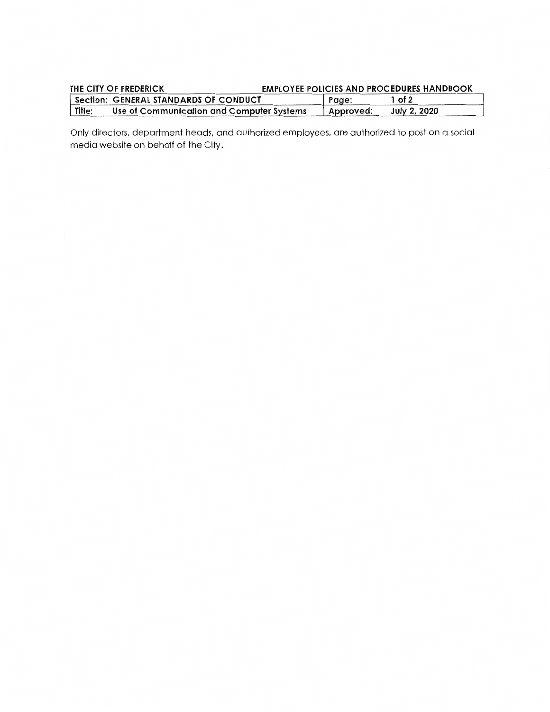| THE CITY OF FREDERICK                               | <b>EMPLOYEE POLICIES AND PROCEDURES HANDBOOK</b> |              |
|-----------------------------------------------------|--------------------------------------------------|--------------|
| Section: GENERAL STANDARDS OF CONDUCT               | , Page:                                          | 1 of 2       |
| Title:<br>Use of Communication and Computer Systems | Approved:                                        | July 2, 2020 |

Only directors, department heads, and authorized employees, are authorized to post on a social media website on behalf of the City.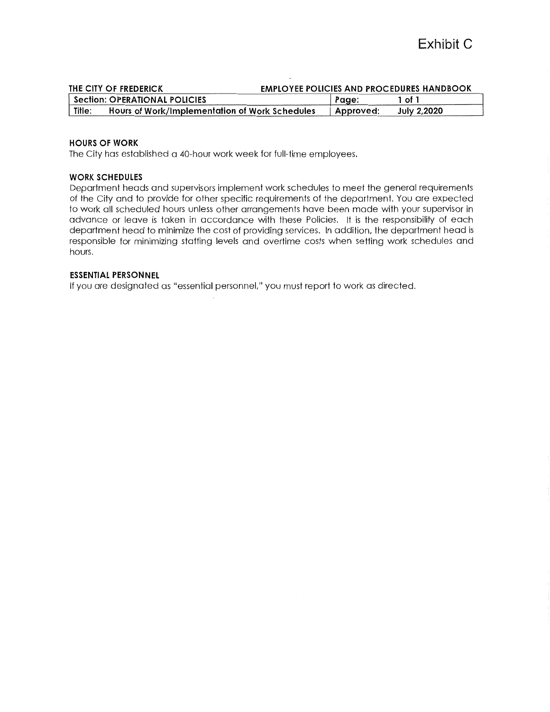|       | THE CITY OF FREDERICK                          | <b>EMPLOYEE POLICIES AND PROCEDURES HANDBOOK</b> |           |                    |  |
|-------|------------------------------------------------|--------------------------------------------------|-----------|--------------------|--|
|       | <b>Section: OPERATIONAL POLICIES</b>           |                                                  | Page:     | 1 of 1             |  |
| Title | Hours of Work/Implementation of Work Schedules |                                                  | Approved: | <b>July 2,2020</b> |  |

#### **HOURS OF WORK**

The City has established a 40-hour work week for full-time employees.

#### **WORK SCHEDULES**

Department heads and supervisors implement work schedules to meet the general requirements of the City and to provide for other specific requirements of the department. You are expected to work all scheduled hours unless other arrangements have been made with your supervisor in advance or leave is taken in accordance with these Policies. It is the responsibility of each department head to minimize the cost of providing services. In addition, the department head is responsible for minimizing staffing levels and overtime costs when setting work schedules and hours.

#### **ESSENTIAL PERSONNEL**

If you are designated as "essential personnel," you must report to work as directed.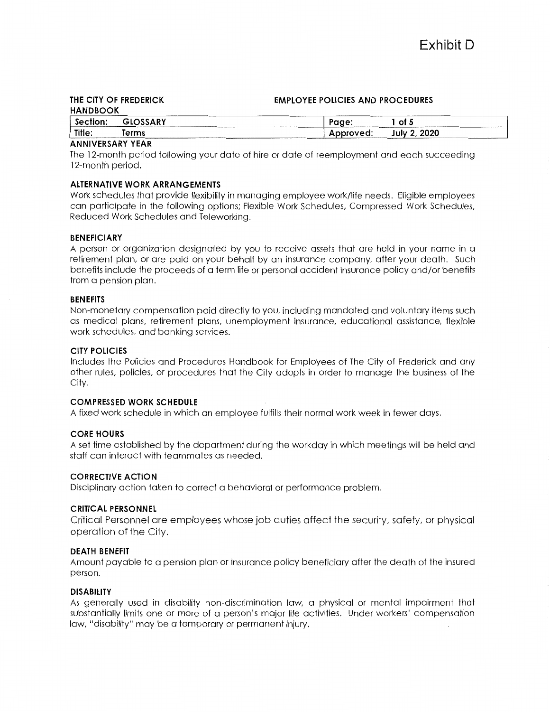#### **THE CITY OF FREDERICK EMPLOYEE POLICIES AND PROCEDURES HANDBOOK Section: GLOSSARY**  Page: **1 of 5 Title: Terms**  Approved: **July 2, 2020**

#### **ANNIVERSARY YEAR**

The 12-month period following your date of hire or date of reemployment and each succeeding 12-month period.

#### **ALTERNATIVE WORK ARRANGEMENTS**

Work schedules that provide flexibility in managing employee work/life needs. Eligible employees can participate in the following options; Flexible Work Schedules, Compressed Work Schedules, Reduced Work Schedules and Teleworking.

#### **BENEFICIARY**

A person or organization designated by you to receive assets that are held in your name in a retirement plan, or are paid on your behalf by an insurance company, after your death. Such benefits include the proceeds of a term life or personal accident insurance policy and/or benefits from a pension plan.

#### **BENEFITS**

Non-monetary compensation paid directly to you, including mandated and voluntary items such as medical plans, retirement plans, unemployment insurance, educational assistance, flexible work schedules, and banking services.

#### **CITY POLICIES**

Includes the Policies and Procedures Handbook for Employees of The City of Frederick and any other rules, policies, or procedures that the City adopts in order to manage the business of the City.

#### **COMPRESSED WORK SCHEDULE**

A fixed work schedule in which an employee fulfills their normal work week in fewer days.

#### **CORE HOURS**

A set time established by the department during the workday in which meetings will be held and staff can interact with teammates as needed.

#### **CORRECTIVE ACTION**

Disciplinary action taken to correct a behavioral or performance problem.

#### **CRITICAL PERSONNEL**

Critical Personnel are employees whose job duties affect the security, safety, or physical operation of the City.

#### **DEATH BENEFIT**

Amount payable to a pension plan or insurance policy beneficiary after the death of the insured person.

#### **DISABILITY**

As generally used in disability non-discrimination law, a physical or mental impairment that substantially limits one or more of a person's major life activities. Under workers' compensation law, "disability" may be a temporary or permanent injury.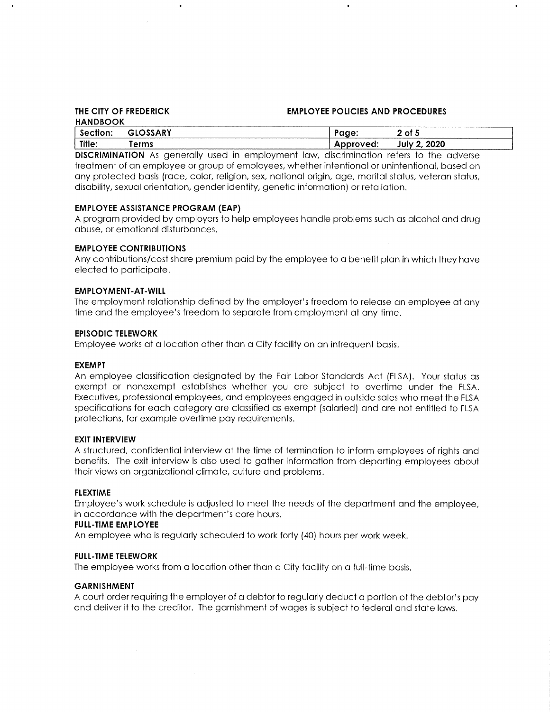# **HANDBOOK**

#### **THE CITY OF FREDERICK EMPLOYEE POLICIES AND PROCEDURES**

| 117119900N |                |       |                     |
|------------|----------------|-------|---------------------|
|            | <b>NO A DV</b> | ----- | nt.                 |
| Title:     | <b>OFMA</b>    |       | 2020<br>lulv<br>. . |

**DISCRIMINATION** As generally used in employment law, discrimination refers to the adverse treatment of an employee or group of employees, whether intentional or unintentional, based on any protected basis (race, color, religion, sex, national origin, age, marital status, veteran status, disability, sexual orientation, gender identity, genetic information) or retaliation.

#### **EMPLOYEE ASSISTANCE PROGRAM (EAP)**

 $\bullet$ 

A program provided by employers to help employees handle problems such as alcohol and drug abuse, or emotional disturbances.

#### **EMPLOYEE CONTRIBUTIONS**

Any contributions/cost share premium paid by the employee to a benefit plan in which they have elected to participate.

#### **EMPLOYMENT-AT-WILL**

The employment relationship defined by the employer's freedom to release an employee at any time and the employee's freedom to separate from employment at any time.

#### **EPISODIC TELEWORK**

Employee works at a location other than a City facility on an infrequent basis.

#### **EXEMPT**

An employee classification designated by the Fair Labor Standards Act (FLSA). Your status as exempt or nonexempt establishes whether you are subject to overtime under the FLSA. Executives, professional employees, and employees engaged in outside sales who meet the FLSA specifications for each category are classified as exempt (salaried) and are not entitled to FLSA protections, for example overtime pay requirements.

#### **EXIT INTERVIEW**

A structured, confidential interview at the time of termination to inform employees of rights and benefits. The exit interview is also used to gather information from departing employees about their views on organizational climate, culture and problems.

#### **FLEXTIME**

Employee's work schedule is adjusted to meet the needs of the department and the employee, in accordance with the department's core hours.

#### **FULL-TIME EMPLOYEE**

An employee who is regularly scheduled to work forty (40) hours per work week.

#### **FULL-TIME TELEWORK**

The employee works from a location other than a City facility on a full-time basis.

#### **GARNISHMENT**

A court order requiring the employer of a debtor to regularly deduct a portion of the debtor's pay and deliver it to the creditor. The garnishment of wages is subject to federal and state laws.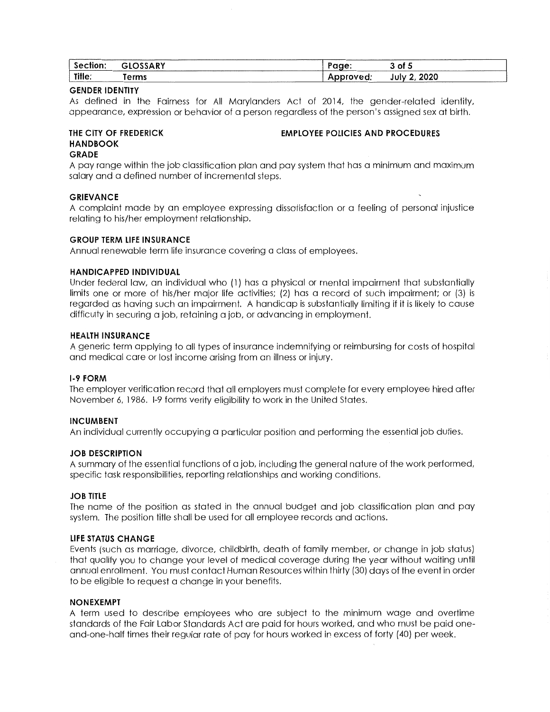| Section: | GLOSSARY | 'aae                  | of 5         |
|----------|----------|-----------------------|--------------|
| Title.   | erms     | Approved <sup>.</sup> | July 2. 2020 |

#### **GENDER IDENTITY**

As defined in the Fairness for All Marylanders Act of 2014, the gender-related identity, appearance, expression or behavior of a person regardless of the person's assigned sex at birth.

#### **THE CITY OF FREDERICK HANDBOOK GRADE**

## **EMPLOYEE POLICIES AND PROCEDURES**

A pay range within the job classification plan and pay system that has a minimum and maximum salary and a defined number of incremental steps.

#### **GRIEVANCE**

A complaint made by an employee expressing dissatisfaction or a feeling of personal injustice relating to his/her employment relationship.

#### **GROUP TERM LIFE INSURANCE**

Annual renewable term life insurance covering a class of employees.

#### **HANDICAPPED INDIVIDUAL**

Under federal law, an individual who (1) has a physical or mental impairment that substantially limits one or more of his/her major life activities; (2) has a record of such impairment; or (3) is regarded as having such an impairment. A handicap is substantially limiting if it is likely to cause difficulty in securing a job, retaining a job, or advancing in employment.

#### **HEALTH INSURANCE**

A generic term applying to all types of insurance indemnifying or reimbursing for costs of hospital and medical care or lost income arising from an illness or injury.

#### **1-9 FORM**

The employer verification record that all employers must complete for every employee hired after November 6, 1986. 1-9 forms verify eligibility to work in the United States.

#### **INCUMBENT**

An individual currently occupying a particular position and performing the essential job duties.

#### **JOB DESCRIPTION**

A summary of the essential functions of a job, including the general nature of the work performed, specific task responsibilities, reporting relationships and working conditions.

#### **JOB TITLE**

The name of the position as stated in the annual budget and job classification plan and pay system. The position title shall be used for all employee records and actions.

#### **LIFE STATUS CHANGE**

Events (such as marriage, divorce, childbirth, death of family member, or change in job status) that qualify you to change your level of medical coverage during the year without waiting until annual enrollment. You must contact Human Resources within thirty (30) days of the event in order to be eligible to request a change in your benefits.

#### **NONEXEMPT**

A term used to describe employees who are subject to the minimum wage and overtime standards of the Fair Labor Standards Act are paid for hours worked, and who must be paid oneand-one-half times their regular rate of pay for hours worked in excess of forty (40) per week.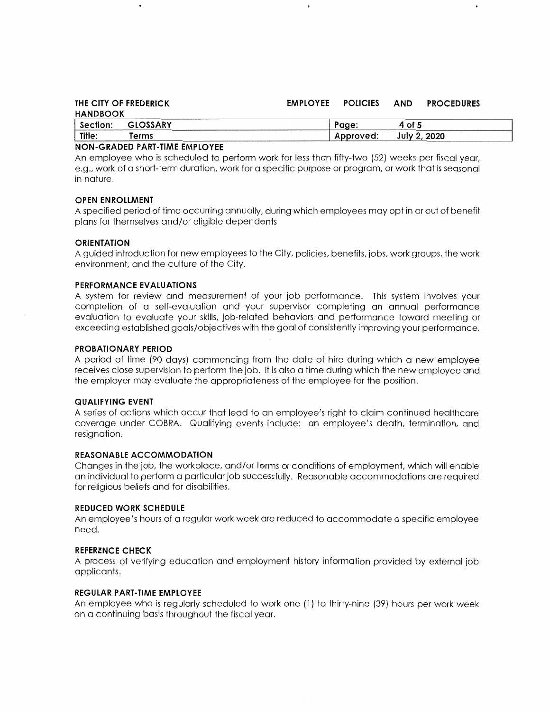| THE CITY OF FREDERICK | <b>EMPLOYEE</b> | <b>POLICIES</b> | <b>AND</b>   | <b>PROCEDURES</b> |  |
|-----------------------|-----------------|-----------------|--------------|-------------------|--|
| <b>HANDBOOK</b>       |                 |                 |              |                   |  |
| Section:<br>GLOSSARY  |                 | Page:           | 4 of 5       |                   |  |
| Title:<br>Terms       |                 | Approved:       | July 2, 2020 |                   |  |
|                       |                 |                 |              |                   |  |

#### **NON-GRADED PART-TIME EMPLOYEE**

An employee who is scheduled to perform work for less than fifty-two (52) weeks per fiscal year, e.g., work of a short-term duration, work for a specific purpose or program, or work that is seasonal in nature.

#### **OPEN ENROLLMENT**

A specified period of time occurring annually, during which employees may opt in or out of benefit plans for themselves and/or eligible dependents

#### **ORIENTATION**

A guided introduction for new employees to the City, policies, benefits, jobs, work groups, the work environment, and the culture of the City.

#### **PERFORMANCE EVALUATIONS**

A system for review and measurement of your job performance. This system involves your completion of a self-evaluation and your supervisor completing an annual performance evaluation to evaluate your skills, job-related behaviors and performance toward meeting or exceeding established goals/objectives with the goal of consistently improving your performance.

#### **PROBATIONARY PERIOD**

A period of time (90 days) commencing from the date of hire during which a new employee receives close supervision to perform the job. It is also a time during which the new employee and the employer may evaluate the appropriateness of the employee for the position.

#### **QUALIFYING EVENT**

A series of actions which occur that lead to an employee's right to claim continued healthcare coverage under COBRA. Qualifying events include: an employee's death, termination, and resignation.

#### **REASONABLE ACCOMMODATION**

Changes in the job, the workplace, and/or terms or conditions of employment, which will enable an individual to perform a particular job successfully. Reasonable accommodations are required for religious beliefs and for disabilities.

#### **REDUCED WORK SCHEDULE**

An employee's hours of a regular work week are reduced to accommodate a specific employee need.

#### **REFERENCE CHECK**

A process of verifying education and employment history information provided by external job applicants.

#### **REGULAR PART-TIME EMPLOYEE**

An employee who is regularly scheduled to work one (l) to thirty-nine (39) hours per work week on a continuing basis throughout the fiscal year.